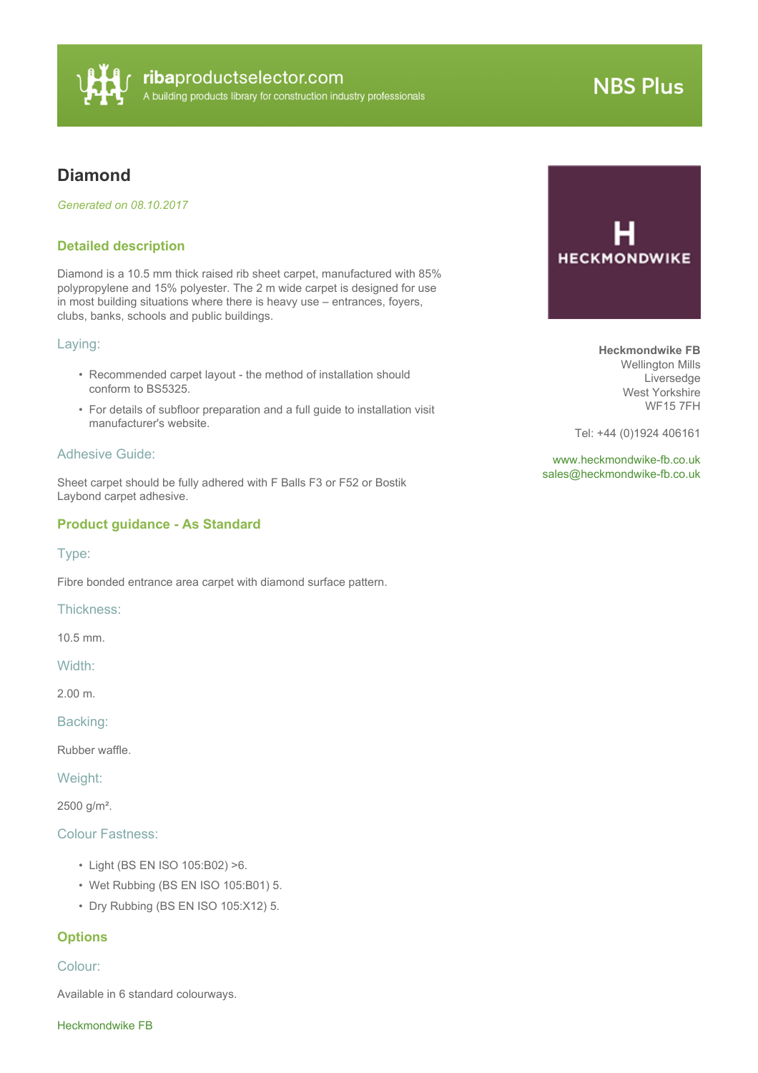

# **NBS Plus**

# **Diamond**

*Generated on 08.10.2017*

#### **Detailed description**

Diamond is a 10.5 mm thick raised rib sheet carpet, manufactured with 85% polypropylene and 15% polyester. The 2 m wide carpet is designed for use in most building situations where there is heavy use – entrances, foyers, clubs, banks, schools and public buildings.

#### Laying:

- Recommended carpet layout the method of installation should conform to BS5325.
- For details of subfloor preparation and a full guide to installation visit manufacturer's website.

#### Adhesive Guide:

Sheet carpet should be fully adhered with F Balls F3 or F52 or Bostik Laybond carpet adhesive.

#### **Product guidance - As Standard**

#### Type:

Fibre bonded entrance area carpet with diamond surface pattern.

Thickness:

10.5 mm.

Width:

2.00 m.

Backing:

Rubber waffle.

Weight:

2500 g/m².

#### Colour Fastness:

- Light (BS EN ISO 105:B02) >6.
- Wet Rubbing (BS EN ISO 105:B01) 5.
- Dry Rubbing (BS EN ISO 105:X12) 5.

## **Options**

#### Colour:

Available in 6 standard colourways.

Heckmondwike FB



**Heckmondwike FB** Wellington Mills Liversedge West Yorkshire WF15 7FH

Tel: +44 (0)1924 406161

<www.heckmondwike-fb.co.uk> [sales@heckmondwike-fb.co.uk](mailto:sales@heckmondwike-fb.co.uk?subject=Diamond)